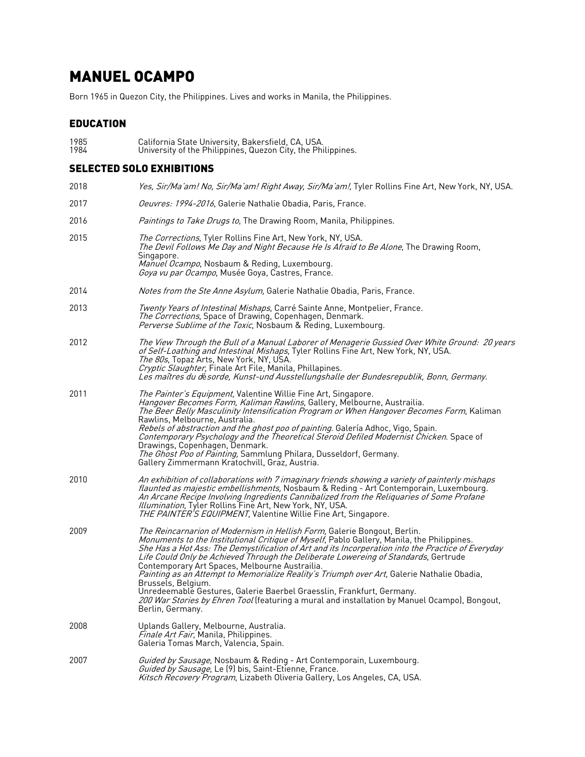# MANUEL OCAMPO

Born 1965 in Quezon City, the Philippines. Lives and works in Manila, the Philippines.

### EDUCATION

1985 California State University, Bakersfield, CA, USA. 1984 University of the Philippines, Quezon City, the Philippines.

#### SELECTED SOLO EXHIBITIONS

| 2018 | Yes, Sir/Ma'am! No, Sir/Ma'am! Right Away, Sir/Ma'am!, Tyler Rollins Fine Art, New York, NY, USA.                                                                                                                                                                                                                                                                                                                                                                                                                                                                                                                                                                                                                                      |
|------|----------------------------------------------------------------------------------------------------------------------------------------------------------------------------------------------------------------------------------------------------------------------------------------------------------------------------------------------------------------------------------------------------------------------------------------------------------------------------------------------------------------------------------------------------------------------------------------------------------------------------------------------------------------------------------------------------------------------------------------|
| 2017 | Oeuvres: 1994-2016, Galerie Nathalie Obadia, Paris, France.                                                                                                                                                                                                                                                                                                                                                                                                                                                                                                                                                                                                                                                                            |
| 2016 | <i>Paintings to Take Drugs to</i> , The Drawing Room, Manila, Philippines.                                                                                                                                                                                                                                                                                                                                                                                                                                                                                                                                                                                                                                                             |
| 2015 | <i>The Corrections</i> , Tyler Rollins Fine Art, New York, NY, USA.<br>The Devil Follows Me Day and Night Because He Is Afraid to Be Alone, The Drawing Room,<br>Singapore.<br>Manuel Ocampo, Nosbaum & Reding, Luxembourg.<br>Goya vu par Ocampo, Musée Goya, Castres, France.                                                                                                                                                                                                                                                                                                                                                                                                                                                        |
| 2014 | <i>Notes from the Ste Anne Asylum,</i> Galerie Nathalie Obadia, Paris, France.                                                                                                                                                                                                                                                                                                                                                                                                                                                                                                                                                                                                                                                         |
| 2013 | Twenty Years of Intestinal Mishaps, Carré Sainte Anne, Montpelier, France.<br>The Corrections, Space of Drawing, Copenhagen, Denmark.<br>Perverse Sublime of the Toxic, Nosbaum & Reding, Luxembourg.                                                                                                                                                                                                                                                                                                                                                                                                                                                                                                                                  |
| 2012 | The View Through the Bull of a Manual Laborer of Menagerie Gussied Over White Ground: 20 years<br>of Self-Loathing and Intestinal Mishaps, Tyler Rollins Fine Art, New York, NY, USA.<br>The 80s, Topaz Arts, New York, NY, USA.<br>Cryptic Slaughter, Finale Art File, Manila, Phillapines.<br>Les maîtres du désorde, Kunst-und Ausstellungshalle der Bundesrepublik, Bonn, Germany.                                                                                                                                                                                                                                                                                                                                                 |
| 2011 | <i>The Painter's Equipment,</i> Valentine Willie Fine Art, Singapore.<br>Hangover Becomes Form, Kaliman Rawlins, Gallery, Melbourne, Austrailia.<br>The Beer Belly Masculinity Intensification Program or When Hangover Becomes Form, Kaliman<br>Rawlins, Melbourne, Australia.<br>Rebels of abstraction and the ghost poo of painting. Galería Adhoc, Vigo, Spain.<br>Contemporary Psychology and the Theoretical Steroid Defiled Modernist Chicken. Space of<br>Drawings, Copenhagen, Denmark.<br>The Ghost Poo of Painting, Sammlung Philara, Dusseldorf, Germany.<br>Gallery Zimmermann Kratochvill, Graz, Austria.                                                                                                                |
| 2010 | An exhibition of collaborations with 7 imaginary friends showing a variety of painterly mishaps<br>flaunted as majestic embellishments, Nosbaum & Reding - Art Contemporain, Luxembourg.<br>An Arcane Recipe Involving Ingredients Cannibalized from the Reliquaries of Some Profane<br>Illumination, Tyler Rollins Fine Art, New York, NY, USA.<br>THE PAINTER'S EQUIPMENT, Valentine Willie Fine Art, Singapore.                                                                                                                                                                                                                                                                                                                     |
| 2009 | The Reincarnarion of Modernism in Hellish Form, Galerie Bongout, Berlin.<br>Monuments to the Institutional Critique of Myself, Pablo Gallery, Manila, the Philippines.<br>She Has a Hot Ass: The Demystification of Art and its Incorperation into the Practice of Everyday<br>Life Could Only be Achieved Through the Deliberate Lowereing of Standards, Gertrude<br>Contemporary Art Spaces, Melbourne Austrailia.<br>Painting as an Attempt to Memorialize Reality's Triumph over Art, Galerie Nathalie Obadia,<br>Brussels, Belgium.<br>Unredeemable Gestures, Galerie Baerbel Graesslin, Frankfurt, Germany.<br>200 War Stories by Ehren Tool (featuring a mural and installation by Manuel Ocampo), Bongout,<br>Berlin, Germany. |
| 2008 | Uplands Gallery, Melbourne, Australia.<br>Finale Art Fair, Manila, Philippines.<br>Galeria Tomas March, Valencia, Spain.                                                                                                                                                                                                                                                                                                                                                                                                                                                                                                                                                                                                               |
| 2007 | Guided by Sausage, Nosbaum & Reding - Art Contemporain, Luxembourg.<br>Guided by Sausage, Le (9) bis, Saint-Etienne, France.<br>Kitsch Recovery Program, Lizabeth Oliveria Gallery, Los Angeles, CA, USA.                                                                                                                                                                                                                                                                                                                                                                                                                                                                                                                              |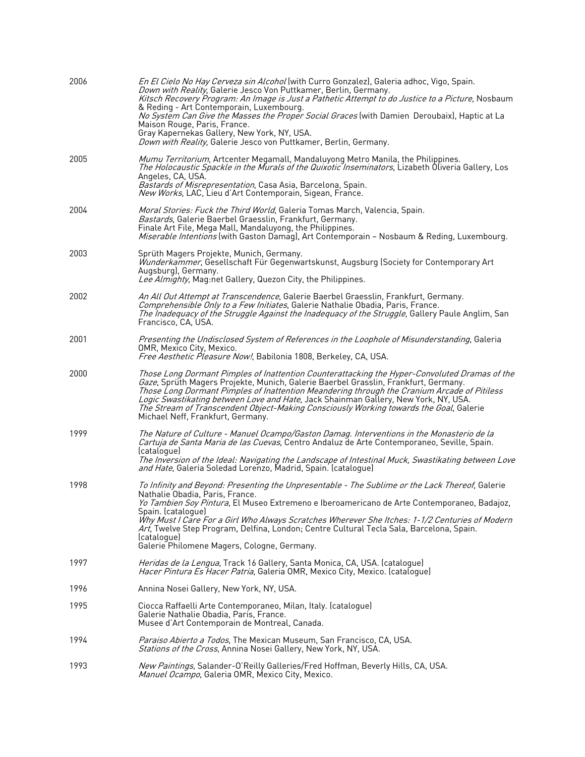| 2006 | En El Cielo No Hay Cerveza sin Alcohol (with Curro Gonzalez), Galeria adhoc, Vigo, Spain.<br>Down with Reality, Galerie Jesco Von Puttkamer, Berlin, Germany.<br>Kitsch Recovery Program: An Image is Just a Pathetic Attempt to do Justice to a Picture, Nosbaum<br>& Reding - Art Contemporain, Luxembourg.<br>No System Can Give the Masses the Proper Social Graces (with Damien Deroubaix), Haptic at La<br>Maison Rouge, Paris, France.<br>Gray Kapernekas Gallery, New York, NY, USA.<br>Down with Reality, Galerie Jesco von Puttkamer, Berlin, Germany. |
|------|------------------------------------------------------------------------------------------------------------------------------------------------------------------------------------------------------------------------------------------------------------------------------------------------------------------------------------------------------------------------------------------------------------------------------------------------------------------------------------------------------------------------------------------------------------------|
| 2005 | Mumu Territorium, Artcenter Megamall, Mandaluyong Metro Manila, the Philippines.<br><i>The Holocaustic Spackle in the Murals of the Quixotic Inseminators</i> , Lizabeth Oliveria Gallery, Los<br>Angeles, CA, USA.<br>Bastards of Misrepresentation, Casa Asia, Barcelona, Spain.<br>New Works, LAC, Lieu d'Art Contemporain, Sigean, France.                                                                                                                                                                                                                   |
| 2004 | Moral Stories: Fuck the Third World, Galeria Tomas March, Valencia, Spain.<br>Bastards, Galerie Baerbel Graesslin, Frankfurt, Germany.<br>Finale Art File, Mega Mall, Mandaluyong, the Philippines.<br>Miserable Intentions (with Gaston Damag), Art Contemporain - Nosbaum & Reding, Luxembourg.                                                                                                                                                                                                                                                                |
| 2003 | Sprüth Magers Projekte, Munich, Germany.<br>Wunderkammer, Gesellschaft Für Gegenwartskunst, Augsburg (Society for Contemporary Art<br>Augsburg), Germany.<br>Lee Almighty, Mag:net Gallery, Quezon City, the Philippines.                                                                                                                                                                                                                                                                                                                                        |
| 2002 | An All Out Attempt at Transcendence, Galerie Baerbel Graesslin, Frankfurt, Germany.<br>Comprehensible Only to a Few Initiates, Galerie Nathalie Obadia, Paris, France.<br>The Inadequacy of the Struggle Against the Inadequacy of the Struggle, Gallery Paule Anglim, San<br>Francisco, CA, USA.                                                                                                                                                                                                                                                                |
| 2001 | Presenting the Undisclosed System of References in the Loophole of Misunderstanding, Galeria<br>OMR, Mexico City, Mexico.<br>Free Aesthetic Pleasure Now!, Babilonia 1808, Berkeley, CA, USA.                                                                                                                                                                                                                                                                                                                                                                    |
| 2000 | Those Long Dormant Pimples of Inattention Counterattacking the Hyper-Convoluted Dramas of the<br>Gaze, Sprüth Magers Projekte, Munich, Galerie Baerbel Grasslin, Frankfurt, Germany.<br>Those Long Dormant Pimples of Inattention Meandering through the Cranium Arcade of Pitiless<br>Logic Swastikating between Love and Hate, Jack Shainman Gallery, New York, NY, USA.<br>The Stream of Transcendent Object-Making Consciously Working towards the Goal, Galerie<br>Michael Neff, Frankfurt, Germany.                                                        |
| 1999 | The Nature of Culture - Manuel Ocampo/Gaston Damag. Interventions in the Monasterio de la<br>Cartuja de Santa Maria de las Cuevas, Centro Andaluz de Arte Contemporaneo, Seville, Spain.<br>(catalogue)<br>The Inversion of the Ideal: Navigating the Landscape of Intestinal Muck, Swastikating between Love<br>and Hate, Galeria Soledad Lorenzo, Madrid, Spain. (catalogue)                                                                                                                                                                                   |
| 1998 | To Infinity and Beyond: Presenting the Unpresentable - The Sublime or the Lack Thereof, Galerie<br>Nathalie Obadia, Paris, France.<br>Yo Tambien Soy Pintura, El Museo Extremeno e Iberoamericano de Arte Contemporaneo, Badajoz,<br>Spain. (catalogue)<br>Why Must I Care For a Girl Who Always Scratches Wherever She Itches: 1-1/2 Centuries of Modern<br>Art, Twelve Step Program, Delfina, London; Centre Cultural Tecla Sala, Barcelona, Spain.<br>(catalogue)<br>Galerie Philomene Magers, Cologne, Germany.                                              |
| 1997 | <i>Heridas de la Lengua</i> , Track 16 Gallery, Santa Monica, CA, USA. (catalogue)<br>Hacer Pintura Es Hacer Patria, Galeria OMR, Mexico City, Mexico. (catalogue)                                                                                                                                                                                                                                                                                                                                                                                               |
| 1996 | Annina Nosei Gallery, New York, NY, USA.                                                                                                                                                                                                                                                                                                                                                                                                                                                                                                                         |
| 1995 | Ciocca Raffaelli Arte Contemporaneo, Milan, Italy. (catalogue)<br>Galerie Nathalie Obadia, Paris, France.<br>Musee d'Art Contemporain de Montreal, Canada.                                                                                                                                                                                                                                                                                                                                                                                                       |
| 1994 | Paraiso Abierto a Todos, The Mexican Museum, San Francisco, CA, USA.<br><i>Stations of the Cross</i> , Annina Nosei Gallery, New York, NY, USA.                                                                                                                                                                                                                                                                                                                                                                                                                  |
| 1993 | New Paintings, Salander-O'Reilly Galleries/Fred Hoffman, Beverly Hills, CA, USA.<br>Manuel Ocampo, Galeria OMR, Mexico City, Mexico.                                                                                                                                                                                                                                                                                                                                                                                                                             |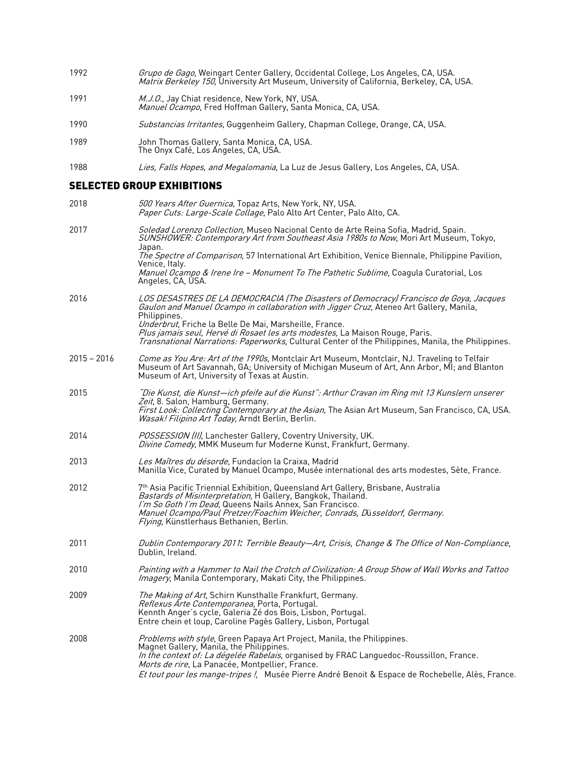- 1992 *Grupo de Gago*, Weingart Center Gallery, Occidental College, Los Angeles, CA, USA. *Matrix Berkeley 150*, University Art Museum, University of California, Berkeley, CA, USA.
- 1991 M.J.O., Jay Chiat residence, New York, NY, USA. *Manuel Ocampo*, Fred Hoffman Gallery, Santa Monica, CA, USA.
- 1990 Substancias Irritantes, Guggenheim Gallery, Chapman College, Orange, CA, USA.
- 1989 John Thomas Gallery, Santa Monica, CA, USA. The Onyx Café, Los Angeles, CA, USA.
- 1988 Lies, Falls Hopes, and Megalomania, La Luz de Jesus Gallery, Los Angeles, CA, USA.

#### SELECTED GROUP EXHIBITIONS

| 2018          | 500 Years After Guernica, Topaz Arts, New York, NY, USA.<br>Paper Cuts: Large-Scale Collage, Palo Alto Art Center, Palo Alto, CA.                                                                                                                                                                                                                                                                                                                 |
|---------------|---------------------------------------------------------------------------------------------------------------------------------------------------------------------------------------------------------------------------------------------------------------------------------------------------------------------------------------------------------------------------------------------------------------------------------------------------|
| 2017          | Soledad Lorenzo Collection, Museo Nacional Cento de Arte Reina Sofia, Madrid, Spain.<br>SUNSHOWER: Contemporary Art from Southeast Asia 1980s to Now, Mori Art Museum, Tokyo,<br>Japan.<br>The Spectre of Comparison, 57 International Art Exhibition, Venice Biennale, Philippine Pavilion,<br>Venice, Italy.                                                                                                                                    |
|               | Manuel Ocampo & Irene Ire - Monument To The Pathetic Sublime, Coagula Curatorial, Los<br>Angeles, CA, ÚSA.                                                                                                                                                                                                                                                                                                                                        |
| 2016          | LOS DESASTRES DE LA DEMOCRACIA (The Disasters of Democracy) Francisco de Goya, Jacques<br>Gaulon and Manuel Ocampo in collaboration with Jigger Cruz, Ateneo Art Gallery, Manila,<br>Philippines.<br>Underbrut, Friche la Belle De Mai, Marsheille, France.<br>Plus jamais seul, Hervé di Rosaet les arts modestes, La Maison Rouge, Paris.<br>Transnational Narrations: Paperworks, Cultural Center of the Philippines, Manila, the Philippines. |
| $2015 - 2016$ | Come as You Are: Art of the 1990s, Montclair Art Museum, Montclair, NJ. Traveling to Telfair<br>Museum of Art Savannah, GA; University of Michigan Museum of Art, Ann Arbor, MI; and Blanton<br>Museum of Art, University of Texas at Austin.                                                                                                                                                                                                     |
| 2015          | "Die Kunst, die Kunst—ich pfeife auf die Kunst": Arthur Cravan im Ring mit 13 Kunslern unserer<br>Zeit, 8. Salon, Hamburg, Germany.<br>First Look: Collecting Contemporary at the Asian, The Asian Art Museum, San Francisco, CA, USA.<br><i>Wasak! Filipino Art Today, Arndt Berlin, Berlin.</i>                                                                                                                                                 |
| 2014          | POSSESSION (II), Lanchester Gallery, Coventry University, UK.<br>Divine Comedy, MMK Museum fur Moderne Kunst, Frankfurt, Germany.                                                                                                                                                                                                                                                                                                                 |
| 2013          | Les Maîtres du désorde, Fundacion la Craixa, Madrid<br>Manilla Vice, Curated by Manuel Ocampo, Musée international des arts modestes, Sète, France.                                                                                                                                                                                                                                                                                               |
| 2012          | 7 <sup>th</sup> Asia Pacific Triennial Exhibition, Queensland Art Gallery, Brisbane, Australia<br>Bastards of Misinterpretation, H Gallery, Bangkok, Thailand.<br>I'm So Goth I'm Dead, Queens Nails Annex, San Francisco.<br>Manuel Ocampo/Paul Pretzer/Foachim Weicher, Conrads, Düsseldorf, Germany.<br>Flying, Künstlerhaus Bethanien, Berlin.                                                                                                |
| 2011          | Dublin Contemporary 2011: Terrible Beauty-Art, Crisis, Change & The Office of Non-Compliance,<br>Dublin, Ireland.                                                                                                                                                                                                                                                                                                                                 |
| 2010          | Painting with a Hammer to Nail the Crotch of Civilization: A Group Show of Wall Works and Tattoo<br>Imagery, Manila Contemporary, Makati City, the Philippines.                                                                                                                                                                                                                                                                                   |
| 2009          | The Making of Art, Schirn Kunsthalle Frankfurt, Germany.<br>Reflexus Arte Contemporanea, Porta, Portugal.<br>Kennth Anger's cycle, Galeria Zé dos Bois, Lisbon, Portugal.<br>Entre chein et loup, Caroline Pagès Gallery, Lisbon, Portugal                                                                                                                                                                                                        |
| 2008          | Problems with style, Green Papaya Art Project, Manila, the Philippines.<br>Magnet Gallery, Manila, the Philippines.<br>In the context of: La dégelée Rabelais, organised by FRAC Languedoc-Roussillon, France.<br>Morts de rire, La Panacée, Montpellier, France.<br>Et tout pour les mange-tripes !, Musée Pierre André Benoit & Espace de Rochebelle, Alès, France.                                                                             |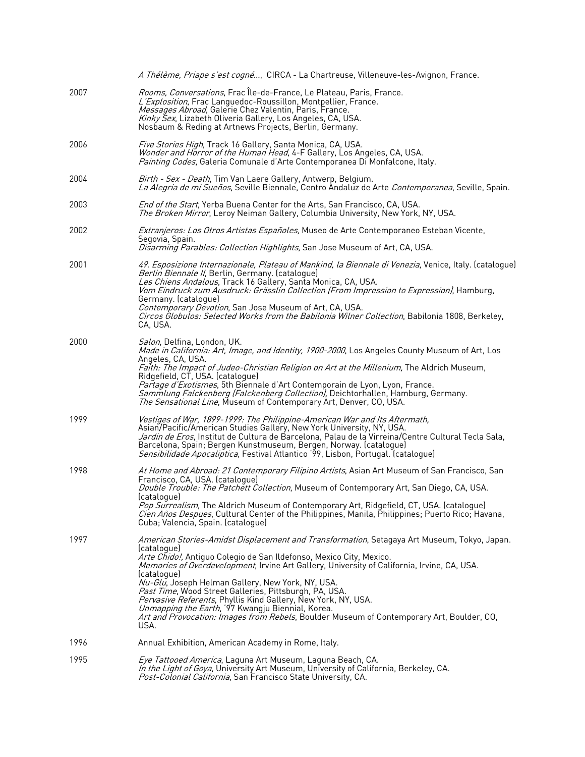|      | A Thélème, Priape s'est cogné, CIRCA - La Chartreuse, Villeneuve-les-Avignon, France.                                                                                                                                                                                                                                                                                                                                                                                                                                                                                                                                                             |
|------|---------------------------------------------------------------------------------------------------------------------------------------------------------------------------------------------------------------------------------------------------------------------------------------------------------------------------------------------------------------------------------------------------------------------------------------------------------------------------------------------------------------------------------------------------------------------------------------------------------------------------------------------------|
| 2007 | Rooms, Conversations, Frac Île-de-France, Le Plateau, Paris, France.<br>L'Explosition, Frac Languedoc-Roussillon, Montpellier, France.<br>Messages Abroad, Galerie Chez Valentin, Paris, France.<br>Kinky Sex, Lizabeth Oliveria Gallery, Los Angeles, CA, USA.<br>Nosbaum & Reding at Artnews Projects, Berlin, Germany.                                                                                                                                                                                                                                                                                                                         |
| 2006 | Five Stories High, Track 16 Gallery, Santa Monica, CA, USA.<br><i>Wonder and Horror of the Human Head</i> , 4-F Gallery, Los Angeles, CA, USA.<br>Painting Codes, Galeria Comunale d'Arte Contemporanea Di Monfalcone, Italy.                                                                                                                                                                                                                                                                                                                                                                                                                     |
| 2004 | Birth - Sex - Death, Tim Van Laere Gallery, Antwerp, Belgium.<br>La Alegria de mi Sueños, Seville Biennale, Centro Andaluz de Arte Contemporanea, Seville, Spain.                                                                                                                                                                                                                                                                                                                                                                                                                                                                                 |
| 2003 | End of the Start, Yerba Buena Center for the Arts, San Francisco, CA, USA.<br>The Broken Mirror, Leroy Neiman Gallery, Columbia University, New York, NY, USA.                                                                                                                                                                                                                                                                                                                                                                                                                                                                                    |
| 2002 | <i>Extranjeros: Los Otros Artistas Españoles</i> , Museo de Arte Contemporaneo Esteban Vicente,<br>Segovia, Spain.<br>Disarming Parables: Collection Highlights, San Jose Museum of Art, CA, USA.                                                                                                                                                                                                                                                                                                                                                                                                                                                 |
| 2001 | 49. Esposizione Internazionale, Plateau of Mankind, la Biennale di Venezia, Venice, Italy. (catalogue)<br>Berlin Biennale II, Berlin, Germany. (catalogue)<br>Les Chiens Andalous, Track 16 Gallery, Santa Monica, CA, USA.<br>Vom Eindruck zum Ausdruck: Grässlin Collection (From Impression to Expression), Hamburg,<br>Germany. (catalogue)<br>Contemporary Devotion, San Jose Museum of Art, CA, USA.<br>Circos Globulos: Selected Works from the Babilonia Wilner Collection, Babilonia 1808, Berkeley,<br>CA, USA.                                                                                                                         |
| 2000 | Salon, Delfina, London, UK.<br>Made in California: Art, Image, and Identity, 1900-2000, Los Angeles County Museum of Art, Los<br>Angeles, CA, USA.<br>Faith: The Impact of Judeo-Christian Religion on Art at the Millenium, The Aldrich Museum,<br>Ridgefield, CT, USA. (catalogue)<br>Partage d'Exotismes, 5th Biennale d'Art Contemporain de Lyon, Lyon, France.<br>Sammlung Falckenberg (Falckenberg Collection), Deichtorhallen, Hamburg, Germany.<br>The Sensational Line, Museum of Contemporary Art, Denver, CO, USA.                                                                                                                     |
| 1999 | Vestiges of War, 1899-1999: The Philippine-American War and Its Aftermath,<br>Asian/Pacific/American Studies Gallery, New York University, NY, USA.<br><i>Jardin de Eros</i> , Institut de Cultura de Barcelona, Palau de la Virreina/Centre Cultural Tecla Sala,<br>Barcelona, Spain; Bergen Kunstmuseum, Bergen, Norway. (catalogue)<br>Sensibilidade Apocaliptica, Festival Atlantico '99, Lisbon, Portugal. (catalogue)                                                                                                                                                                                                                       |
| 1998 | At Home and Abroad: 21 Contemporary Filipino Artists, Asian Art Museum of San Francisco, San<br>Francisco, CA, USA. (catalogue)<br>Double Trouble: The Patchett Collection, Museum of Contemporary Art, San Diego, CA, USA.<br>(catalogue)<br>Pop Surrealism, The Aldrich Museum of Contemporary Art, Ridgefield, CT, USA. (catalogue)<br>Cien Años Despues, Cultural Center of the Philippines, Manila, Philippines; Puerto Rico; Havana,<br>Cuba; Valencia, Spain. (catalogue)                                                                                                                                                                  |
| 1997 | American Stories-Amidst Displacement and Transformation, Setagaya Art Museum, Tokyo, Japan.<br>(cataloque)<br>Arte Chido!, Antiguo Colegio de San Ildefonso, Mexico City, Mexico.<br><i>Memories of Overdevelopment</i> , Irvine Art Gallery, University of California, Irvine, CA, USA.<br>(catalogue)<br>Nu-Glu, Joseph Helman Gallery, New York, NY, USA.<br>Past Time, Wood Street Galleries, Pittsburgh, PA, USA.<br>Pervasive Referents, Phyllis Kind Gallery, New York, NY, USA.<br>Unmapping the Earth, '97 Kwangju Biennial, Korea.<br>Art and Provocation: Images from Rebels, Boulder Museum of Contemporary Art, Boulder, CO,<br>USA. |
| 1996 | Annual Exhibition, American Academy in Rome, Italy.                                                                                                                                                                                                                                                                                                                                                                                                                                                                                                                                                                                               |
| 1995 | Eye Tattooed America, Laguna Art Museum, Laguna Beach, CA.<br>In the Light of Goya, University Art Museum, University of California, Berkeley, CA.<br>Post-Colonial California, San Francisco State University, CA.                                                                                                                                                                                                                                                                                                                                                                                                                               |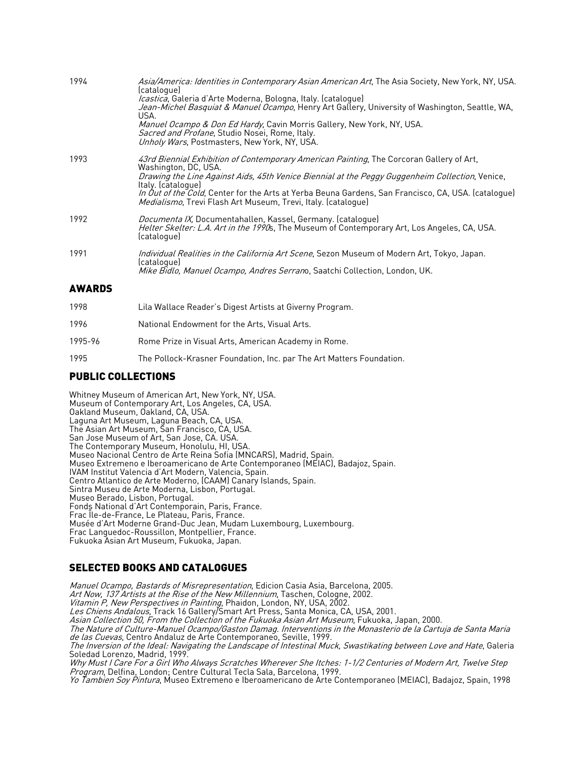| 1994   | Asia/America: Identities in Contemporary Asian American Art, The Asia Society, New York, NY, USA.<br>(catalogue)<br><i>Icastica</i> , Galeria d'Arte Moderna, Bologna, Italy. (catalogue)<br>Jean-Michel Basquiat & Manuel Ocampo, Henry Art Gallery, University of Washington, Seattle, WA,<br>USA. |
|--------|------------------------------------------------------------------------------------------------------------------------------------------------------------------------------------------------------------------------------------------------------------------------------------------------------|
|        | Manuel Ocampo & Don Ed Hardy, Cavin Morris Gallery, New York, NY, USA.<br><i>Sacred and Profane</i> , Studio Nosei, Rome, Italy.<br>Unholy Wars, Postmasters, New York, NY, USA.                                                                                                                     |
| 1993   | 43rd Biennial Exhibition of Contemporary American Painting, The Corcoran Gallery of Art,<br>Washington, DC, USA.                                                                                                                                                                                     |
|        | Drawing the Line Against Aids, 45th Venice Biennial at the Peggy Guggenheim Collection, Venice,                                                                                                                                                                                                      |
|        | Italy. (catalogue)<br>In Out of the Cold, Center for the Arts at Yerba Beuna Gardens, San Francisco, CA, USA. (cataloque)<br><i>Medialismo</i> , Trevi Flash Art Museum, Trevi, Italy. (catalogue)                                                                                                   |
| 1992   | <i>Documenta IX</i> , Documentahallen, Kassel, Germany. (catalogue)<br>Helter Skelter: L.A. Art in the 1990s, The Museum of Contemporary Art, Los Angeles, CA, USA.<br>(catalogue)                                                                                                                   |
| 1991   | <i>Individual Realities in the California Art Scene</i> , Sezon Museum of Modern Art, Tokyo, Japan.                                                                                                                                                                                                  |
|        | (catalogue)<br>Mike Bidlo, Manuel Ocampo, Andres Serrano, Saatchi Collection, London, UK.                                                                                                                                                                                                            |
| AWARDS |                                                                                                                                                                                                                                                                                                      |
| 1998   | Lila Wallace Reader's Digest Artists at Giverny Program.                                                                                                                                                                                                                                             |

- 1996 National Endowment for the Arts, Visual Arts.
- 1995-96 Rome Prize in Visual Arts, American Academy in Rome.
- 1995 The Pollock-Krasner Foundation, Inc. par The Art Matters Foundation.

#### PUBLIC COLLECTIONS

Whitney Museum of American Art, New York, NY, USA. Museum of Contemporary Art, Los Angeles, CA, USA. Laguna Art Museum, Laguna Beach, CA, USA.<br>The Asian Art Museum, San Francisco, CA, USA.<br>San Jose Museum of Art, San Jose, CA. USA.<br>The Contemporary Museum, Honolulu, HI, USA. Museo Nacional Centro de Arte Reina Sofia (MNCARS), Madrid, Spain. Museo Extremeno e Iberoamericano de Arte Contemporaneo (MEIAC), Badajoz, Spain. IVAM Institut Valencia d'Art Modern, Valencia, Spain. Centro Atlantico de Arte Moderno, (CAAM) Canary Islands, Spain. Sintra Museu de Arte Moderna, Lisbon, Portugal. Museo Berado, Lisbon, Portugal. Fonds National d'Art Contemporain, Paris, France. Frac Île-de-France, Le Plateau, Paris, France. Musée d'Art Moderne Grand-Duc Jean, Mudam Luxembourg, Luxembourg. Frac Languedoc-Roussillon, Montpellier, France. Fukuoka Asian Art Museum, Fukuoka, Japan.

## SELECTED BOOKS AND CATALOGUES

Manuel Ocampo, Bastards of Misrepresentation, Edicion Casia Asia, Barcelona, 2005.

Art Now, 137 Artists at the Rise of the New Millennium, Taschen, Cologne, 2002.

Vitamin P, New Perspectives in Painting, Phaidon, London, NY, USA, 2002.

*Les Chiens Andalous*, Track 16 Gallery/Smart Art Press, Santa Monica, CA, USA, 2001.

Asian Collection 50, From the Collection of the Fukuoka Asian Art Museum, Fukuoka, Japan, 2000.

The Nature of Culture-Manuel Ocampo/Gaston Damag. Interventions in the Monasterio de la Cartuja de Santa Maria de las Cuevas, Centro Andaluz de Arte Contemporaneo, Seville, 1999.

The Inversion of the Ideal: Navigating the Landscape of Intestinal Muck, Swastikating between Love and Hate, Galeria Soledad Lorenzo, Madrid, 1999.

Why Must I Care For a Girl Who Always Scratches Wherever She Itches: 1-1/2 Centuries of Modern Art, Twelve Step *Program*, Delfina, London; Centre Cultural Tecla Sala, Barcelona, 1999.

*Yo Tambien Soy Pintura*, Museo Extremeno e Iberoamericano de Arte Contemporaneo (MEIAC), Badajoz, Spain, 1998